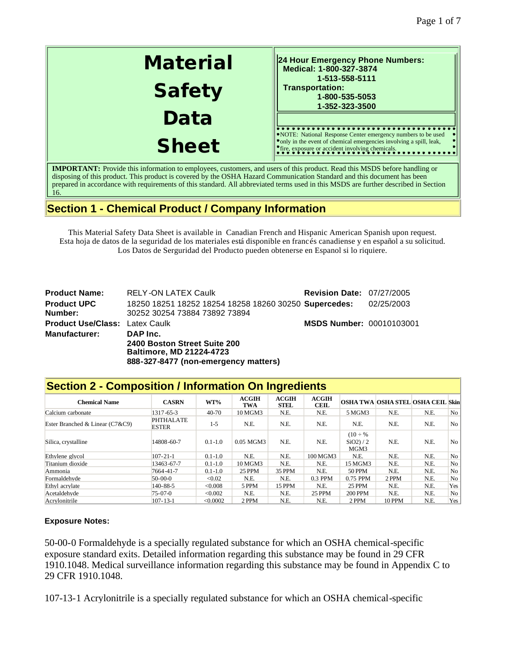| <b>Material</b> | 24 Hour Emergency Phone Numbers:<br>Medical: 1-800-327-3874<br>1-513-558-5111                                                                                                                       |
|-----------------|-----------------------------------------------------------------------------------------------------------------------------------------------------------------------------------------------------|
| <b>Safety</b>   | <b>Transportation:</b><br>1-800-535-5053<br>1-352-323-3500                                                                                                                                          |
| Data            |                                                                                                                                                                                                     |
| <b>Sheet</b>    | NOTE: National Response Center emergency numbers to be used<br>• only in the event of chemical emergencies involving a spill, leak,<br><sup>•</sup> fire, exposure or accident involving chemicals. |

**IMPORTANT:** Provide this information to employees, customers, and users of this product. Read this MSDS before handling or disposing of this product. This product is covered by the OSHA Hazard Communication Standard and this document has been prepared in accordance with requirements of this standard. All abbreviated terms used in this MSDS are further described in Section 16.

# **Section 1 - Chemical Product / Company Information**

This Material Safety Data Sheet is available in Canadian French and Hispanic American Spanish upon request. Esta hoja de datos de la seguridad de los materiales está disponible en francés canadiense y en español a su solicitud. Los Datos de Serguridad del Producto pueden obtenerse en Espanol si lo riquiere.

| <b>Product Name:</b>                  | <b>RELY-ON LATEX Caulk</b>                            | <b>Revision Date: 07/27/2005</b> |            |
|---------------------------------------|-------------------------------------------------------|----------------------------------|------------|
| <b>Product UPC</b>                    | 18250 18251 18252 18254 18258 18260 30250 Supercedes: |                                  | 02/25/2003 |
| Number:                               | 30252 30254 73884 73892 73894                         |                                  |            |
| <b>Product Use/Class: Latex Caulk</b> |                                                       | <b>MSDS Number: 00010103001</b>  |            |
| <b>Manufacturer:</b>                  | DAP Inc.                                              |                                  |            |
|                                       | 2400 Boston Street Suite 200                          |                                  |            |
|                                       | <b>Baltimore, MD 21224-4723</b>                       |                                  |            |
|                                       | 888-327-8477 (non-emergency matters)                  |                                  |            |

| <b>Section 2 - Composition / Information On Ingredients</b> |                                  |             |                            |               |                      |                                        |                                   |      |                |
|-------------------------------------------------------------|----------------------------------|-------------|----------------------------|---------------|----------------------|----------------------------------------|-----------------------------------|------|----------------|
| <b>Chemical Name</b>                                        | <b>CASRN</b>                     | WT%         | <b>ACGIH</b><br><b>TWA</b> | ACGIH<br>STEL | ACGIH<br><b>CEIL</b> |                                        | OSHA TWA OSHA STEL OSHA CEIL Skin |      |                |
| Calcium carbonate                                           | 1317-65-3                        | $40 - 70$   | 10 MGM3                    | N.E.          | N.E.                 | 5 MGM3                                 | N.E.                              | N.E. | No             |
| Ester Branched & Linear (C7&C9)                             | <b>PHTHALATE</b><br><b>ESTER</b> | $1 - 5$     | N.E.                       | N.E.          | N.E.                 | N.E.                                   | N.E.                              | N.E. | N <sub>o</sub> |
| Silica, crystalline                                         | 14808-60-7                       | $0.1 - 1.0$ | 0.05 MGM3                  | N.E.          | N.E.                 | $(10 \div 96)$<br>$SiO2$ ) / 2<br>MGM3 | N.E.                              | N.E. | No             |
| Ethylene glycol                                             | $107 - 21 - 1$                   | $0.1 - 1.0$ | N.E.                       | N.E.          | 100 MGM3             | N.E.                                   | N.E.                              | N.E. | No             |
| Titanium dioxide                                            | 13463-67-7                       | $0.1 - 1.0$ | 10 MGM3                    | N.E.          | N.E.                 | 15 MGM3                                | N.E.                              | N.E. | No             |
| Ammonia                                                     | 7664-41-7                        | $0.1 - 1.0$ | <b>25 PPM</b>              | 35 PPM        | N.E.                 | 50 PPM                                 | N.E.                              | N.E. | N <sub>o</sub> |
| Formaldehyde                                                | $50-00-0$                        | < 0.02      | N.E.                       | N.E.          | 0.3 PPM              | 0.75 PPM                               | 2 PPM                             | N.E. | No             |
| Ethyl acrylate                                              | 140-88-5                         | < 0.008     | 5 PPM                      | <b>15 PPM</b> | N.E.                 | 25 PPM                                 | N.E.                              | N.E. | Yes            |
| Acetaldehyde                                                | $75-07-0$                        | < 0.002     | N.E.                       | N.E.          | <b>25 PPM</b>        | <b>200 PPM</b>                         | N.E.                              | N.E. | No             |
| Acrylonitrile                                               | $107 - 13 - 1$                   | < 0.0002    | 2 PPM                      | N.E.          | N.E.                 | 2 PPM                                  | <b>10 PPM</b>                     | N.E. | Yes            |

### **Exposure Notes:**

50-00-0 Formaldehyde is a specially regulated substance for which an OSHA chemical-specific exposure standard exits. Detailed information regarding this substance may be found in 29 CFR 1910.1048. Medical surveillance information regarding this substance may be found in Appendix C to 29 CFR 1910.1048.

107-13-1 Acrylonitrile is a specially regulated substance for which an OSHA chemical-specific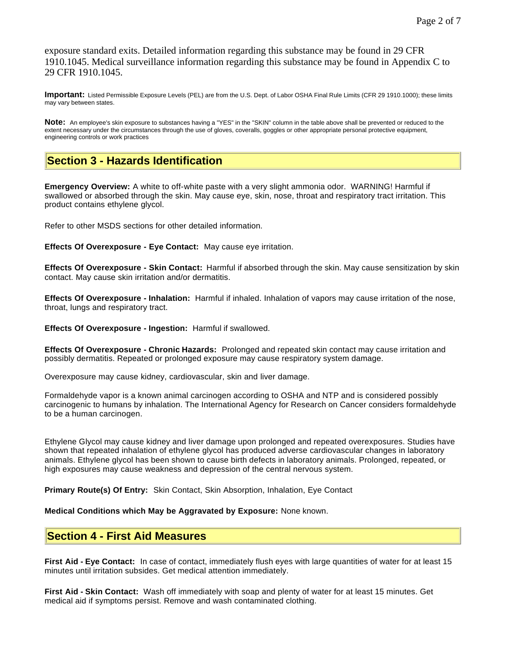exposure standard exits. Detailed information regarding this substance may be found in 29 CFR 1910.1045. Medical surveillance information regarding this substance may be found in Appendix C to 29 CFR 1910.1045.

**Important:** Listed Permissible Exposure Levels (PEL) are from the U.S. Dept. of Labor OSHA Final Rule Limits (CFR 29 1910.1000); these limits may vary between states.

**Note:** An employee's skin exposure to substances having a "YES" in the "SKIN" column in the table above shall be prevented or reduced to the extent necessary under the circumstances through the use of gloves, coveralls, goggles or other appropriate personal protective equipment, engineering controls or work practices

## **Section 3 - Hazards Identification**

**Emergency Overview:** A white to off-white paste with a very slight ammonia odor. WARNING! Harmful if swallowed or absorbed through the skin. May cause eye, skin, nose, throat and respiratory tract irritation. This product contains ethylene glycol.

Refer to other MSDS sections for other detailed information.

**Effects Of Overexposure - Eye Contact:** May cause eye irritation.

**Effects Of Overexposure - Skin Contact:** Harmful if absorbed through the skin. May cause sensitization by skin contact. May cause skin irritation and/or dermatitis.

**Effects Of Overexposure - Inhalation:** Harmful if inhaled. Inhalation of vapors may cause irritation of the nose, throat, lungs and respiratory tract.

**Effects Of Overexposure - Ingestion:** Harmful if swallowed.

**Effects Of Overexposure - Chronic Hazards:** Prolonged and repeated skin contact may cause irritation and possibly dermatitis. Repeated or prolonged exposure may cause respiratory system damage.

Overexposure may cause kidney, cardiovascular, skin and liver damage.

Formaldehyde vapor is a known animal carcinogen according to OSHA and NTP and is considered possibly carcinogenic to humans by inhalation. The International Agency for Research on Cancer considers formaldehyde to be a human carcinogen.

Ethylene Glycol may cause kidney and liver damage upon prolonged and repeated overexposures. Studies have shown that repeated inhalation of ethylene glycol has produced adverse cardiovascular changes in laboratory animals. Ethylene glycol has been shown to cause birth defects in laboratory animals. Prolonged, repeated, or high exposures may cause weakness and depression of the central nervous system.

**Primary Route(s) Of Entry:** Skin Contact, Skin Absorption, Inhalation, Eye Contact

**Medical Conditions which May be Aggravated by Exposure:** None known.

### **Section 4 - First Aid Measures**

**First Aid - Eye Contact:** In case of contact, immediately flush eyes with large quantities of water for at least 15 minutes until irritation subsides. Get medical attention immediately.

**First Aid - Skin Contact:** Wash off immediately with soap and plenty of water for at least 15 minutes. Get medical aid if symptoms persist. Remove and wash contaminated clothing.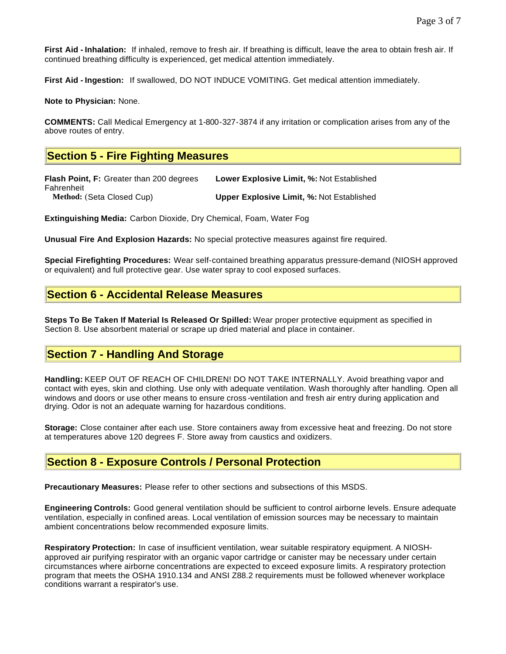**First Aid - Inhalation:** If inhaled, remove to fresh air. If breathing is difficult, leave the area to obtain fresh air. If continued breathing difficulty is experienced, get medical attention immediately.

**First Aid - Ingestion:** If swallowed, DO NOT INDUCE VOMITING. Get medical attention immediately.

**Note to Physician:** None.

**COMMENTS:** Call Medical Emergency at 1-800-327-3874 if any irritation or complication arises from any of the above routes of entry.

## **Section 5 - Fire Fighting Measures**

**Flash Point, F:** Greater than 200 degrees Fahrenheit **Lower Explosive Limit, %:** Not Established **Method:** (Seta Closed Cup) **Upper Explosive Limit, %:** Not Established

**Extinguishing Media:** Carbon Dioxide, Dry Chemical, Foam, Water Fog

**Unusual Fire And Explosion Hazards:** No special protective measures against fire required.

**Special Firefighting Procedures:** Wear self-contained breathing apparatus pressure-demand (NIOSH approved or equivalent) and full protective gear. Use water spray to cool exposed surfaces.

### **Section 6 - Accidental Release Measures**

**Steps To Be Taken If Material Is Released Or Spilled:** Wear proper protective equipment as specified in Section 8. Use absorbent material or scrape up dried material and place in container.

### **Section 7 - Handling And Storage**

**Handling:** KEEP OUT OF REACH OF CHILDREN! DO NOT TAKE INTERNALLY. Avoid breathing vapor and contact with eyes, skin and clothing. Use only with adequate ventilation. Wash thoroughly after handling. Open all windows and doors or use other means to ensure cross -ventilation and fresh air entry during application and drying. Odor is not an adequate warning for hazardous conditions.

**Storage:** Close container after each use. Store containers away from excessive heat and freezing. Do not store at temperatures above 120 degrees F. Store away from caustics and oxidizers.

### **Section 8 - Exposure Controls / Personal Protection**

**Precautionary Measures:** Please refer to other sections and subsections of this MSDS.

**Engineering Controls:** Good general ventilation should be sufficient to control airborne levels. Ensure adequate ventilation, especially in confined areas. Local ventilation of emission sources may be necessary to maintain ambient concentrations below recommended exposure limits.

**Respiratory Protection:** In case of insufficient ventilation, wear suitable respiratory equipment. A NIOSHapproved air purifying respirator with an organic vapor cartridge or canister may be necessary under certain circumstances where airborne concentrations are expected to exceed exposure limits. A respiratory protection program that meets the OSHA 1910.134 and ANSI Z88.2 requirements must be followed whenever workplace conditions warrant a respirator's use.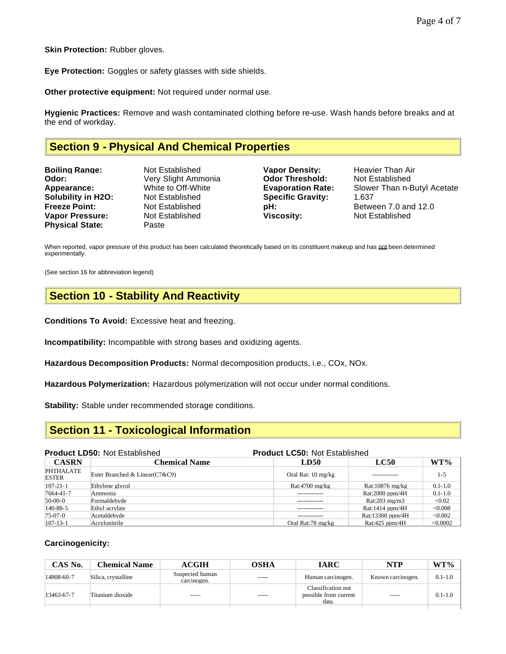**Skin Protection: Rubber gloves.** 

**Eye Protection:** Goggles or safety glasses with side shields.

**Other protective equipment:** Not required under normal use.

**Hygienic Practices:** Remove and wash contaminated clothing before re-use. Wash hands before breaks and at the end of workday.

# **Section 9 - Physical And Chemical Properties**

| <b>Boiling Range:</b>     | Not Estab         |
|---------------------------|-------------------|
| Odor:                     | <b>Very Sligh</b> |
| Appearance:               | White to C        |
| <b>Solubility in H2O:</b> | Not Estab         |
| <b>Freeze Point:</b>      | Not Estab         |
| <b>Vapor Pressure:</b>    | <b>Not Estab</b>  |
| <b>Physical State:</b>    | Paste             |

**Boiling Range: Point Claudion Constructs** Changes Heavier Than Air **Odor Threshold:** Not Established **Odor Threshold:** Not Established **Specific Gravity: 1.637 Viscosity:** Not Established **Viscosity:** Not Established

**Appearance:** White to Off-White **Evaporation Rate:** Slower Than n-Butyl Acetate **Franch Point: Freeze Point: Franch Between 7.0 and 12.0** 

When reported, vapor pressure of this product has been calculated theoretically based on its constituent makeup and has not been determined experimentally.

(See section 16 for abbreviation legend)

# **Section 10 - Stability And Reactivity**

**Conditions To Avoid:** Excessive heat and freezing.

**Incompatibility:** Incompatible with strong bases and oxidizing agents.

**Hazardous Decomposition Products:** Normal decomposition products, i.e., COx, NOx.

**Hazardous Polymerization:** Hazardous polymerization will not occur under normal conditions.

**Stability:** Stable under recommended storage conditions.

### **Section 11 - Toxicological Information**

#### **Product LD50:** Not Established **Product LC50:** Not Established

| <b>CASRN</b>              | <b>Chemical Name</b>                 | LD50               | <b>LC50</b>               | WT%         |
|---------------------------|--------------------------------------|--------------------|---------------------------|-------------|
| PHTHALATE<br><b>ESTER</b> | Ester Branched & Linear $(C7 \& C9)$ | Oral Rat: 10 mg/kg | -------------             | $1 - 5$     |
| $107 - 21 - 1$            | Ethylene glycol                      | Rat:4700 mg/kg     | Rat:10876 mg/kg           | $0.1 - 1.0$ |
| 7664-41-7                 | Ammonia                              |                    | Rat:2000 ppm/4 $H$        | $0.1 - 1.0$ |
| $50-00-0$                 | Formaldehyde                         | -------------      | Rat: $203 \text{ me/m}$ 3 | < 0.02      |
| $140 - 88 - 5$            | Ethyl acrylate                       | -------------      | Rat: $1414$ ppm/4H        | < 0.008     |
| $75-07-0$                 | Acetaldehyde                         | -------------      | Rat:13300 ppm/4H          | < 0.002     |
| $ 107-13-1$               | Acrylonitrile                        | Oral Rat:78 mg/kg  | Rat: $425$ ppm/4H         | < 0.0002    |

#### **Carcinogenicity:**

| CAS No.    | <b>Chemical Name</b> | <b>ACGIH</b>                   | OSHA        | <b>IARC</b>                                          | <b>NTP</b>        | WT%         |
|------------|----------------------|--------------------------------|-------------|------------------------------------------------------|-------------------|-------------|
| 14808-60-7 | Silica, crystalline  | Suspected human<br>carcinogen. | $- - - - -$ | Human carcinogen.                                    | Known carcinogen. | $0.1 - 1.0$ |
| 13463-67-7 | Titanium dioxide     | ------                         | $- - - - -$ | Classification not<br>possible from current<br>data. | $- - - - -$       | $0.1 - 1.0$ |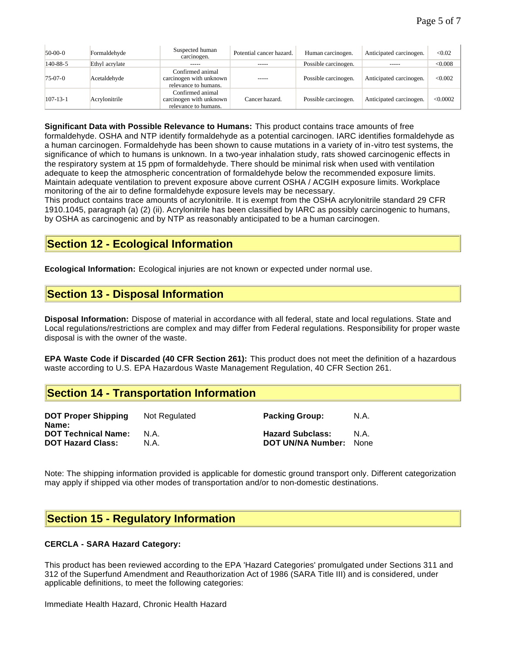| $50-00-0$      | Formaldehyde   | Suspected human<br>carcinogen.                                      | Potential cancer hazard. | Human carcinogen.    | Anticipated carcinogen. | < 0.02   |
|----------------|----------------|---------------------------------------------------------------------|--------------------------|----------------------|-------------------------|----------|
| 140-88-5       | Ethyl acrylate | -----                                                               | -----                    | Possible carcinogen. | -----                   | &0.008   |
| $75-07-0$      | Acetaldehyde   | Confirmed animal<br>carcinogen with unknown<br>relevance to humans. | -----                    | Possible carcinogen. | Anticipated carcinogen. | < 0.002  |
| $107 - 13 - 1$ | Acrylonitrile  | Confirmed animal<br>carcinogen with unknown<br>relevance to humans. | Cancer hazard.           | Possible carcinogen. | Anticipated carcinogen. | < 0.0002 |

**Significant Data with Possible Relevance to Humans:** This product contains trace amounts of free

formaldehyde. OSHA and NTP identify formaldehyde as a potential carcinogen. IARC identifies formaldehyde as a human carcinogen. Formaldehyde has been shown to cause mutations in a variety of in-vitro test systems, the significance of which to humans is unknown. In a two-year inhalation study, rats showed carcinogenic effects in the respiratory system at 15 ppm of formaldehyde. There should be minimal risk when used with ventilation adequate to keep the atmospheric concentration of formaldehyde below the recommended exposure limits. Maintain adequate ventilation to prevent exposure above current OSHA / ACGIH exposure limits. Workplace monitoring of the air to define formaldehyde exposure levels may be necessary.

This product contains trace amounts of acrylonitrile. It is exempt from the OSHA acrylonitrile standard 29 CFR 1910.1045, paragraph (a) (2) (ii). Acrylonitrile has been classified by IARC as possibly carcinogenic to humans, by OSHA as carcinogenic and by NTP as reasonably anticipated to be a human carcinogen.

## **Section 12 - Ecological Information**

**Ecological Information:** Ecological injuries are not known or expected under normal use.

## **Section 13 - Disposal Information**

**Disposal Information:** Dispose of material in accordance with all federal, state and local regulations. State and Local regulations/restrictions are complex and may differ from Federal regulations. Responsibility for proper waste disposal is with the owner of the waste.

**EPA Waste Code if Discarded (40 CFR Section 261):** This product does not meet the definition of a hazardous waste according to U.S. EPA Hazardous Waste Management Regulation, 40 CFR Section 261.

## **Section 14 - Transportation Information**

**DOT Proper Shipping Name:** Not Regulated **Packing Group:** N.A. **DOT Technical Name:** N.A. **Hazard Subclass:** N.A. **DOT Hazard Class:** N.A. **DOT UN/NA Number:** None

Note: The shipping information provided is applicable for domestic ground transport only. Different categorization may apply if shipped via other modes of transportation and/or to non-domestic destinations.

### **Section 15 - Regulatory Information**

#### **CERCLA - SARA Hazard Category:**

This product has been reviewed according to the EPA 'Hazard Categories' promulgated under Sections 311 and 312 of the Superfund Amendment and Reauthorization Act of 1986 (SARA Title III) and is considered, under applicable definitions, to meet the following categories:

Immediate Health Hazard, Chronic Health Hazard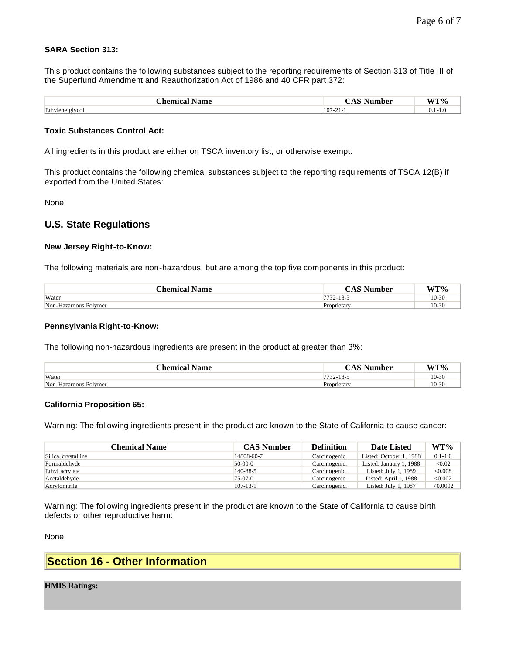#### **SARA Section 313:**

This product contains the following substances subject to the reporting requirements of Section 313 of Title III of the Superfund Amendment and Reauthorization Act of 1986 and 40 CFR part 372:

| Chemica.<br>Name           | ıhar<br>- 14<br>vu                              | <b>XX/TO/</b><br>w            |
|----------------------------|-------------------------------------------------|-------------------------------|
| Ethylene<br>$\sigma$ [VCO] | $10^{\circ}$<br>$\overline{\phantom{a}}$<br>-41 | $\mathbf{v} \cdot \mathbf{r}$ |

#### **Toxic Substances Control Act:**

All ingredients in this product are either on TSCA inventory list, or otherwise exempt.

This product contains the following chemical substances subject to the reporting requirements of TSCA 12(B) if exported from the United States:

None

### **U.S. State Regulations**

#### **New Jersey Right-to-Know:**

The following materials are non-hazardous, but are among the top five components in this product:

| <b>Chemical Name</b>  | Number<br>$\mathcal{L}$ AS ' | $WT\%$  |
|-----------------------|------------------------------|---------|
| Water                 | '32-18-5                     | $10-30$ |
| Non-Hazardous Polymer | <b>Proprietary</b>           | 10-30   |

#### **Pennsylvania Right-to-Know:**

The following non-hazardous ingredients are present in the product at greater than 3%:

| .'hemical Name        | Number     | <b>XX/TO/</b> |
|-----------------------|------------|---------------|
| Water                 | . 32-18-5  | $10-3'$       |
| Non-Hazardous Polymer | Proprietar | $^{\circ}$    |

#### **California Proposition 65:**

Warning: The following ingredients present in the product are known to the State of California to cause cancer:

| Chemical Name       | <b>CAS Number</b> | <b>Definition</b> | Date Listed             | WT%         |
|---------------------|-------------------|-------------------|-------------------------|-------------|
| Silica, crystalline | 14808-60-7        | Carcinogenic.     | Listed: October 1, 1988 | $0.1 - 1.0$ |
| Formaldehyde        | 50-00-0           | Carcinogenic.     | Listed: January 1, 1988 | < 0.02      |
| Ethyl acrylate      | 140-88-5          | Carcinogenic.     | Listed: July 1, $1989$  | < 0.008     |
| Acetaldehyde        | 75-07-0           | Carcinogenic.     | Listed: April 1, 1988   | < 0.002     |
| Acrylonitrile       | $107 - 13 - 1$    | Carcinogenic.     | Listed: July 1, 1987    | < 0.0002    |

Warning: The following ingredients present in the product are known to the State of California to cause birth defects or other reproductive harm:

None

## **Section 16 - Other Information**

#### **HMIS Ratings:**